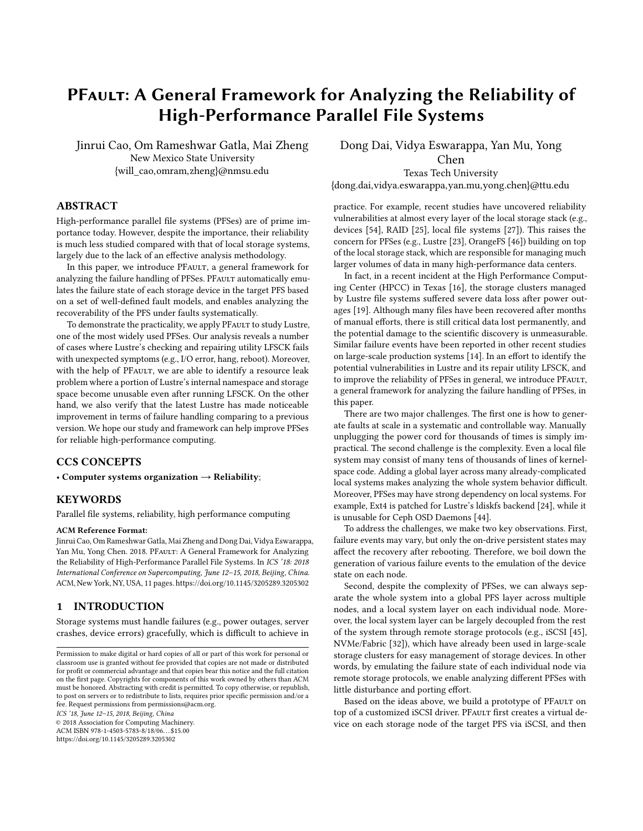# PFAULT: A General Framework for Analyzing the Reliability of High-Performance Parallel File Systems

Jinrui Cao, Om Rameshwar Gatla, Mai Zheng New Mexico State University {will\_cao,omram,zheng}@nmsu.edu

# ABSTRACT

High-performance parallel file systems (PFSes) are of prime importance today. However, despite the importance, their reliability is much less studied compared with that of local storage systems, largely due to the lack of an effective analysis methodology.

In this paper, we introduce PFAULT, a general framework for analyzing the failure handling of PFSes. PFAULT automatically emulates the failure state of each storage device in the target PFS based on a set of well-defined fault models, and enables analyzing the recoverability of the PFS under faults systematically.

To demonstrate the practicality, we apply PFAULT to study Lustre, one of the most widely used PFSes. Our analysis reveals a number of cases where Lustre's checking and repairing utility LFSCK fails with unexpected symptoms (e.g., I/O error, hang, reboot). Moreover, with the help of PFAULT, we are able to identify a resource leak problem where a portion of Lustre's internal namespace and storage space become unusable even after running LFSCK. On the other hand, we also verify that the latest Lustre has made noticeable improvement in terms of failure handling comparing to a previous version. We hope our study and framework can help improve PFSes for reliable high-performance computing.

# CCS CONCEPTS

• Computer systems organization  $\rightarrow$  Reliability;

#### **KEYWORDS**

Parallel file systems, reliability, high performance computing

#### ACM Reference Format:

Jinrui Cao, Om Rameshwar Gatla, Mai Zheng and Dong Dai, Vidya Eswarappa, Yan Mu, Yong Chen. 2018. PFAULT: A General Framework for Analyzing the Reliability of High-Performance Parallel File Systems. In ICS '18: 2018 International Conference on Supercomputing, June 12–15, 2018, Beijing, China. ACM, New York, NY, USA, [11](#page-10-0) pages.<https://doi.org/10.1145/3205289.3205302>

# 1 INTRODUCTION

Storage systems must handle failures (e.g., power outages, server crashes, device errors) gracefully, which is difficult to achieve in

ICS '18, June 12–15, 2018, Beijing, China

© 2018 Association for Computing Machinery.

ACM ISBN 978-1-4503-5783-8/18/06. . . \$15.00 <https://doi.org/10.1145/3205289.3205302>

Dong Dai, Vidya Eswarappa, Yan Mu, Yong Chen Texas Tech University {dong.dai,vidya.eswarappa,yan.mu,yong.chen}@ttu.edu

practice. For example, recent studies have uncovered reliability vulnerabilities at almost every layer of the local storage stack (e.g., devices [\[54\]](#page-10-1), RAID [\[25\]](#page-9-0), local file systems [\[27\]](#page-9-1)). This raises the concern for PFSes (e.g., Lustre [\[23\]](#page-9-2), OrangeFS [\[46\]](#page-10-2)) building on top of the local storage stack, which are responsible for managing much larger volumes of data in many high-performance data centers.

In fact, in a recent incident at the High Performance Computing Center (HPCC) in Texas [\[16\]](#page-9-3), the storage clusters managed by Lustre file systems suffered severe data loss after power outages [\[19\]](#page-9-4). Although many files have been recovered after months of manual efforts, there is still critical data lost permanently, and the potential damage to the scientific discovery is unmeasurable. Similar failure events have been reported in other recent studies on large-scale production systems [\[14\]](#page-9-5). In an effort to identify the potential vulnerabilities in Lustre and its repair utility LFSCK, and to improve the reliability of PFSes in general, we introduce PFAULT, a general framework for analyzing the failure handling of PFSes, in this paper.

There are two major challenges. The first one is how to generate faults at scale in a systematic and controllable way. Manually unplugging the power cord for thousands of times is simply impractical. The second challenge is the complexity. Even a local file system may consist of many tens of thousands of lines of kernelspace code. Adding a global layer across many already-complicated local systems makes analyzing the whole system behavior difficult. Moreover, PFSes may have strong dependency on local systems. For example, Ext4 is patched for Lustre's ldiskfs backend [\[24\]](#page-9-6), while it is unusable for Ceph OSD Daemons [\[44\]](#page-10-3).

To address the challenges, we make two key observations. First, failure events may vary, but only the on-drive persistent states may affect the recovery after rebooting. Therefore, we boil down the generation of various failure events to the emulation of the device state on each node.

Second, despite the complexity of PFSes, we can always separate the whole system into a global PFS layer across multiple nodes, and a local system layer on each individual node. Moreover, the local system layer can be largely decoupled from the rest of the system through remote storage protocols (e.g., iSCSI [\[45\]](#page-10-4), NVMe/Fabric [\[32\]](#page-10-5)), which have already been used in large-scale storage clusters for easy management of storage devices. In other words, by emulating the failure state of each individual node via remote storage protocols, we enable analyzing different PFSes with little disturbance and porting effort.

Based on the ideas above, we build a prototype of PFAULT on top of a customized iSCSI driver. PFAULT first creates a virtual device on each storage node of the target PFS via iSCSI, and then

Permission to make digital or hard copies of all or part of this work for personal or classroom use is granted without fee provided that copies are not made or distributed for profit or commercial advantage and that copies bear this notice and the full citation on the first page. Copyrights for components of this work owned by others than ACM must be honored. Abstracting with credit is permitted. To copy otherwise, or republish, to post on servers or to redistribute to lists, requires prior specific permission and/or a fee. Request permissions from permissions@acm.org.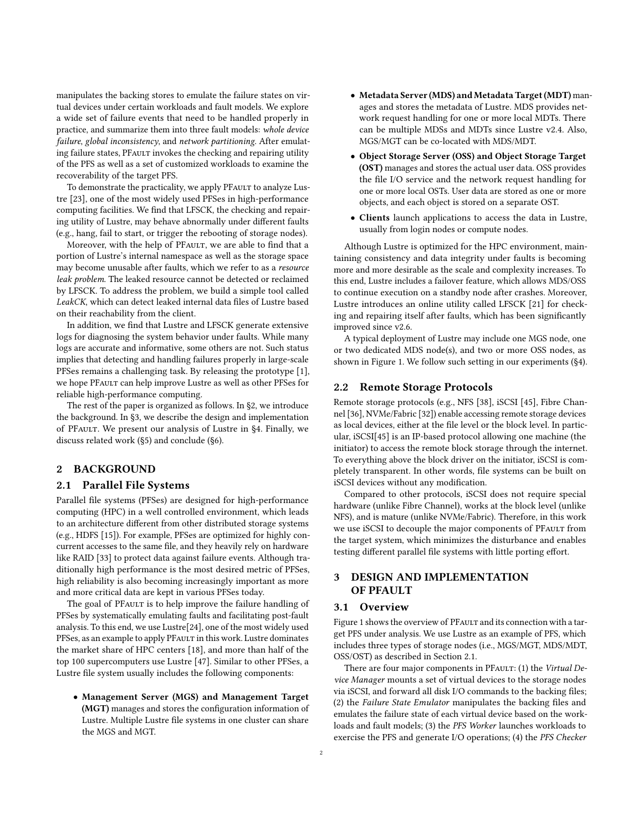manipulates the backing stores to emulate the failure states on virtual devices under certain workloads and fault models. We explore a wide set of failure events that need to be handled properly in practice, and summarize them into three fault models: whole device failure, global inconsistency, and network partitioning. After emulating failure states, PFAULT invokes the checking and repairing utility of the PFS as well as a set of customized workloads to examine the recoverability of the target PFS.

To demonstrate the practicality, we apply PFAULT to analyze Lustre [\[23\]](#page-9-2), one of the most widely used PFSes in high-performance computing facilities. We find that LFSCK, the checking and repairing utility of Lustre, may behave abnormally under different faults (e.g., hang, fail to start, or trigger the rebooting of storage nodes).

Moreover, with the help of PFAULT, we are able to find that a portion of Lustre's internal namespace as well as the storage space may become unusable after faults, which we refer to as a resource leak problem. The leaked resource cannot be detected or reclaimed by LFSCK. To address the problem, we build a simple tool called LeakCK, which can detect leaked internal data files of Lustre based on their reachability from the client.

In addition, we find that Lustre and LFSCK generate extensive logs for diagnosing the system behavior under faults. While many logs are accurate and informative, some others are not. Such status implies that detecting and handling failures properly in large-scale PFSes remains a challenging task. By releasing the prototype [\[1\]](#page-9-7), we hope PFAULT can help improve Lustre as well as other PFSes for reliable high-performance computing.

The rest of the paper is organized as follows. In [§2,](#page-1-0) we introduce the background. In [§3,](#page-1-1) we describe the design and implementation of PFAULT. We present our analysis of Lustre in [§4.](#page-3-0) Finally, we discuss related work ([§5\)](#page-8-0) and conclude ([§6\)](#page-8-1).

# <span id="page-1-0"></span>2 BACKGROUND

#### <span id="page-1-2"></span>2.1 Parallel File Systems

Parallel file systems (PFSes) are designed for high-performance computing (HPC) in a well controlled environment, which leads to an architecture different from other distributed storage systems (e.g., HDFS [\[15\]](#page-9-8)). For example, PFSes are optimized for highly concurrent accesses to the same file, and they heavily rely on hardware like RAID [\[33\]](#page-10-6) to protect data against failure events. Although traditionally high performance is the most desired metric of PFSes, high reliability is also becoming increasingly important as more and more critical data are kept in various PFSes today.

The goal of PFAULT is to help improve the failure handling of PFSes by systematically emulating faults and facilitating post-fault analysis. To this end, we use Lustre[\[24\]](#page-9-6), one of the most widely used PFSes, as an example to apply PFAULT in this work. Lustre dominates the market share of HPC centers [\[18\]](#page-9-9), and more than half of the top 100 supercomputers use Lustre [\[47\]](#page-10-7). Similar to other PFSes, a Lustre file system usually includes the following components:

• Management Server (MGS) and Management Target (MGT) manages and stores the configuration information of Lustre. Multiple Lustre file systems in one cluster can share the MGS and MGT.

- Metadata Server (MDS) and Metadata Target (MDT) manages and stores the metadata of Lustre. MDS provides network request handling for one or more local MDTs. There can be multiple MDSs and MDTs since Lustre v2.4. Also, MGS/MGT can be co-located with MDS/MDT.
- Object Storage Server (OSS) and Object Storage Target (OST) manages and stores the actual user data. OSS provides the file I/O service and the network request handling for one or more local OSTs. User data are stored as one or more objects, and each object is stored on a separate OST.
- Clients launch applications to access the data in Lustre, usually from login nodes or compute nodes.

Although Lustre is optimized for the HPC environment, maintaining consistency and data integrity under faults is becoming more and more desirable as the scale and complexity increases. To this end, Lustre includes a failover feature, which allows MDS/OSS to continue execution on a standby node after crashes. Moreover, Lustre introduces an online utility called LFSCK [\[21\]](#page-9-10) for checking and repairing itself after faults, which has been significantly improved since v2.6.

A typical deployment of Lustre may include one MGS node, one or two dedicated MDS node(s), and two or more OSS nodes, as shown in Figure [1.](#page-2-0) We follow such setting in our experiments ([§4\)](#page-3-0).

#### <span id="page-1-3"></span>2.2 Remote Storage Protocols

Remote storage protocols (e.g., NFS [\[38\]](#page-10-8), iSCSI [\[45\]](#page-10-4), Fibre Channel [\[36\]](#page-10-9), NVMe/Fabric [\[32\]](#page-10-5)) enable accessing remote storage devices as local devices, either at the file level or the block level. In particular, iSCSI[\[45\]](#page-10-4) is an IP-based protocol allowing one machine (the initiator) to access the remote block storage through the internet. To everything above the block driver on the initiator, iSCSI is completely transparent. In other words, file systems can be built on iSCSI devices without any modification.

Compared to other protocols, iSCSI does not require special hardware (unlike Fibre Channel), works at the block level (unlike NFS), and is mature (unlike NVMe/Fabric). Therefore, in this work we use iSCSI to decouple the major components of PFAULT from the target system, which minimizes the disturbance and enables testing different parallel file systems with little porting effort.

# <span id="page-1-1"></span>3 DESIGN AND IMPLEMENTATION OF PFAULT

#### 3.1 Overview

Figure [1](#page-2-0) shows the overview of PFAULT and its connection with a target PFS under analysis. We use Lustre as an example of PFS, which includes three types of storage nodes (i.e., MGS/MGT, MDS/MDT, OSS/OST) as described in Section [2.1.](#page-1-2)

There are four major components in PFAULT: (1) the Virtual Device Manager mounts a set of virtual devices to the storage nodes via iSCSI, and forward all disk I/O commands to the backing files; (2) the Failure State Emulator manipulates the backing files and emulates the failure state of each virtual device based on the workloads and fault models; (3) the PFS Worker launches workloads to exercise the PFS and generate I/O operations; (4) the PFS Checker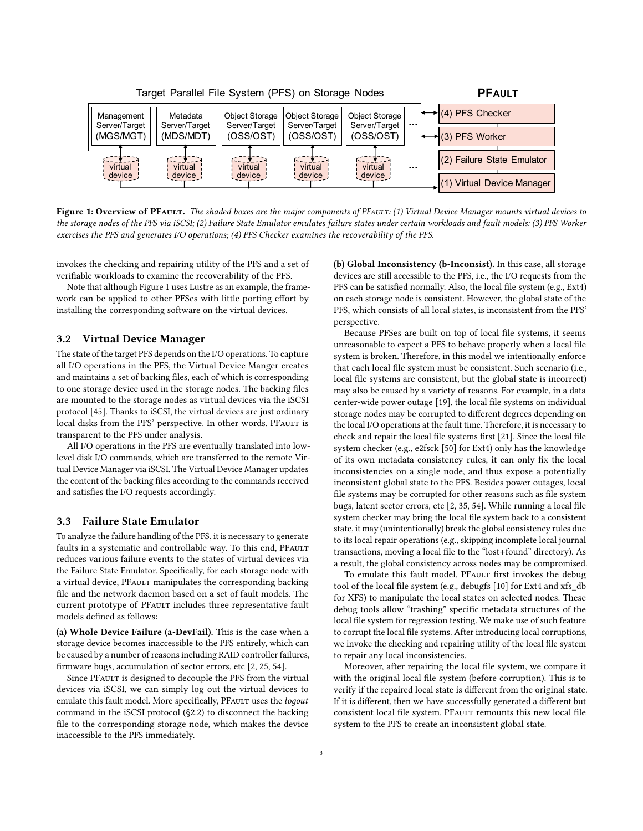<span id="page-2-0"></span>

Figure 1: Overview of PFAULT. The shaded boxes are the major components of PFAULT: (1) Virtual Device Manager mounts virtual devices to the storage nodes of the PFS via iSCSI; (2) Failure State Emulator emulates failure states under certain workloads and fault models; (3) PFS Worker exercises the PFS and generates I/O operations; (4) PFS Checker examines the recoverability of the PFS.

invokes the checking and repairing utility of the PFS and a set of verifiable workloads to examine the recoverability of the PFS.

Note that although Figure [1](#page-2-0) uses Lustre as an example, the framework can be applied to other PFSes with little porting effort by installing the corresponding software on the virtual devices.

### <span id="page-2-1"></span>3.2 Virtual Device Manager

The state of the target PFS depends on the I/O operations. To capture all I/O operations in the PFS, the Virtual Device Manger creates and maintains a set of backing files, each of which is corresponding to one storage device used in the storage nodes. The backing files are mounted to the storage nodes as virtual devices via the iSCSI protocol [\[45\]](#page-10-4). Thanks to iSCSI, the virtual devices are just ordinary local disks from the PFS' perspective. In other words, PFAULT is transparent to the PFS under analysis.

All I/O operations in the PFS are eventually translated into lowlevel disk I/O commands, which are transferred to the remote Virtual Device Manager via iSCSI. The Virtual Device Manager updates the content of the backing files according to the commands received and satisfies the I/O requests accordingly.

# <span id="page-2-2"></span>3.3 Failure State Emulator

To analyze the failure handling of the PFS, it is necessary to generate faults in a systematic and controllable way. To this end, PFAULT reduces various failure events to the states of virtual devices via the Failure State Emulator. Specifically, for each storage node with a virtual device, PFAULT manipulates the corresponding backing file and the network daemon based on a set of fault models. The current prototype of PFAULT includes three representative fault models defined as follows:

(a) Whole Device Failure (a-DevFail). This is the case when a storage device becomes inaccessible to the PFS entirely, which can be caused by a number of reasons including RAID controller failures, firmware bugs, accumulation of sector errors, etc [\[2,](#page-9-11) [25,](#page-9-0) [54\]](#page-10-1).

Since PFAULT is designed to decouple the PFS from the virtual devices via iSCSI, we can simply log out the virtual devices to emulate this fault model. More specifically, PFAULT uses the *loqout* command in the iSCSI protocol ([§2.2\)](#page-1-3) to disconnect the backing file to the corresponding storage node, which makes the device inaccessible to the PFS immediately.

(b) Global Inconsistency (b-Inconsist). In this case, all storage devices are still accessible to the PFS, i.e., the I/O requests from the PFS can be satisfied normally. Also, the local file system (e.g., Ext4) on each storage node is consistent. However, the global state of the PFS, which consists of all local states, is inconsistent from the PFS' perspective.

Because PFSes are built on top of local file systems, it seems unreasonable to expect a PFS to behave properly when a local file system is broken. Therefore, in this model we intentionally enforce that each local file system must be consistent. Such scenario (i.e., local file systems are consistent, but the global state is incorrect) may also be caused by a variety of reasons. For example, in a data center-wide power outage [\[19\]](#page-9-4), the local file systems on individual storage nodes may be corrupted to different degrees depending on the local I/O operations at the fault time. Therefore, it is necessary to check and repair the local file systems first [\[21\]](#page-9-10). Since the local file system checker (e.g., e2fsck [\[50\]](#page-10-10) for Ext4) only has the knowledge of its own metadata consistency rules, it can only fix the local inconsistencies on a single node, and thus expose a potentially inconsistent global state to the PFS. Besides power outages, local file systems may be corrupted for other reasons such as file system bugs, latent sector errors, etc [\[2,](#page-9-11) [35,](#page-10-11) [54\]](#page-10-1). While running a local file system checker may bring the local file system back to a consistent state, it may (unintentionally) break the global consistency rules due to its local repair operations (e.g., skipping incomplete local journal transactions, moving a local file to the "lost+found" directory). As a result, the global consistency across nodes may be compromised.

To emulate this fault model, PFAULT first invokes the debug tool of the local file system (e.g., debugfs [\[10\]](#page-9-12) for Ext4 and xfs\_db for XFS) to manipulate the local states on selected nodes. These debug tools allow "trashing" specific metadata structures of the local file system for regression testing. We make use of such feature to corrupt the local file systems. After introducing local corruptions, we invoke the checking and repairing utility of the local file system to repair any local inconsistencies.

Moreover, after repairing the local file system, we compare it with the original local file system (before corruption). This is to verify if the repaired local state is different from the original state. If it is different, then we have successfully generated a different but consistent local file system. PFAULT remounts this new local file system to the PFS to create an inconsistent global state.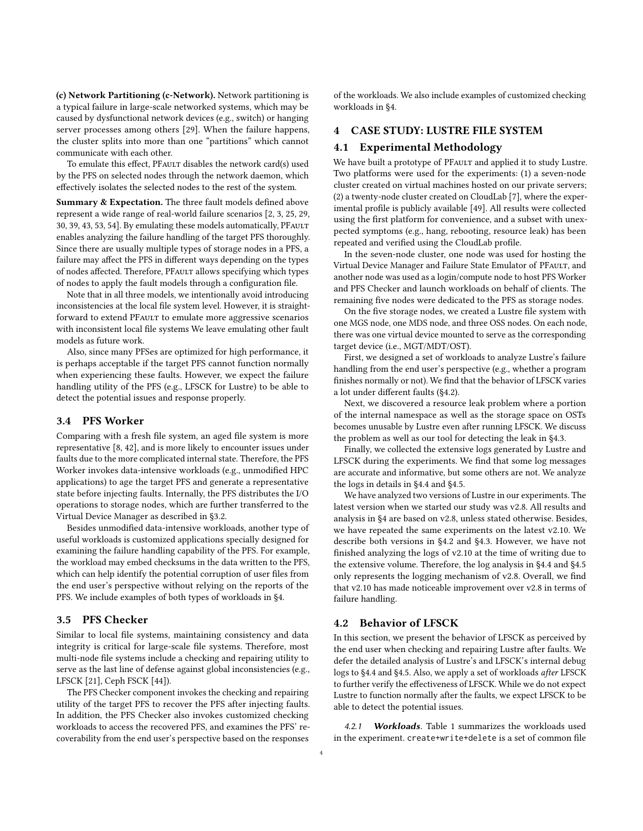(c) Network Partitioning (c-Network). Network partitioning is a typical failure in large-scale networked systems, which may be caused by dysfunctional network devices (e.g., switch) or hanging server processes among others [\[29\]](#page-9-13). When the failure happens, the cluster splits into more than one "partitions" which cannot communicate with each other.

To emulate this effect, PFAULT disables the network card(s) used by the PFS on selected nodes through the network daemon, which effectively isolates the selected nodes to the rest of the system.

Summary & Expectation. The three fault models defined above represent a wide range of real-world failure scenarios [\[2,](#page-9-11) [3,](#page-9-14) [25,](#page-9-0) [29,](#page-9-13) [30,](#page-9-15) [39,](#page-10-12) [43,](#page-10-13) [53,](#page-10-14) [54\]](#page-10-1). By emulating these models automatically, PFAULT enables analyzing the failure handling of the target PFS thoroughly. Since there are usually multiple types of storage nodes in a PFS, a failure may affect the PFS in different ways depending on the types of nodes affected. Therefore, PFAULT allows specifying which types of nodes to apply the fault models through a configuration file.

Note that in all three models, we intentionally avoid introducing inconsistencies at the local file system level. However, it is straightforward to extend PFAULT to emulate more aggressive scenarios with inconsistent local file systems We leave emulating other fault models as future work.

Also, since many PFSes are optimized for high performance, it is perhaps acceptable if the target PFS cannot function normally when experiencing these faults. However, we expect the failure handling utility of the PFS (e.g., LFSCK for Lustre) to be able to detect the potential issues and response properly.

### 3.4 PFS Worker

Comparing with a fresh file system, an aged file system is more representative [\[8,](#page-9-16) [42\]](#page-10-15), and is more likely to encounter issues under faults due to the more complicated internal state. Therefore, the PFS Worker invokes data-intensive workloads (e.g., unmodified HPC applications) to age the target PFS and generate a representative state before injecting faults. Internally, the PFS distributes the I/O operations to storage nodes, which are further transferred to the Virtual Device Manager as described in [§3.2.](#page-2-1)

Besides unmodified data-intensive workloads, another type of useful workloads is customized applications specially designed for examining the failure handling capability of the PFS. For example, the workload may embed checksums in the data written to the PFS, which can help identify the potential corruption of user files from the end user's perspective without relying on the reports of the PFS. We include examples of both types of workloads in [§4.](#page-3-0)

#### 3.5 PFS Checker

Similar to local file systems, maintaining consistency and data integrity is critical for large-scale file systems. Therefore, most multi-node file systems include a checking and repairing utility to serve as the last line of defense against global inconsistencies (e.g., LFSCK [\[21\]](#page-9-10), Ceph FSCK [\[44\]](#page-10-3)).

The PFS Checker component invokes the checking and repairing utility of the target PFS to recover the PFS after injecting faults. In addition, the PFS Checker also invokes customized checking workloads to access the recovered PFS, and examines the PFS' recoverability from the end user's perspective based on the responses

of the workloads. We also include examples of customized checking workloads in [§4.](#page-3-0)

# <span id="page-3-0"></span>4 CASE STUDY: LUSTRE FILE SYSTEM

### 4.1 Experimental Methodology

We have built a prototype of PFAULT and applied it to study Lustre. Two platforms were used for the experiments: (1) a seven-node cluster created on virtual machines hosted on our private servers; (2) a twenty-node cluster created on CloudLab [\[7\]](#page-9-17), where the experimental profile is publicly available [\[49\]](#page-10-16). All results were collected using the first platform for convenience, and a subset with unexpected symptoms (e.g., hang, rebooting, resource leak) has been repeated and verified using the CloudLab profile.

In the seven-node cluster, one node was used for hosting the Virtual Device Manager and Failure State Emulator of PFAULT, and another node was used as a login/compute node to host PFS Worker and PFS Checker and launch workloads on behalf of clients. The remaining five nodes were dedicated to the PFS as storage nodes.

On the five storage nodes, we created a Lustre file system with one MGS node, one MDS node, and three OSS nodes. On each node, there was one virtual device mounted to serve as the corresponding target device (i.e., MGT/MDT/OST).

First, we designed a set of workloads to analyze Lustre's failure handling from the end user's perspective (e.g., whether a program finishes normally or not). We find that the behavior of LFSCK varies a lot under different faults ([§4.2\)](#page-3-1).

Next, we discovered a resource leak problem where a portion of the internal namespace as well as the storage space on OSTs becomes unusable by Lustre even after running LFSCK. We discuss the problem as well as our tool for detecting the leak in [§4.3.](#page-5-0)

Finally, we collected the extensive logs generated by Lustre and LFSCK during the experiments. We find that some log messages are accurate and informative, but some others are not. We analyze the logs in details in [§4.4](#page-6-0) and [§4.5.](#page-7-0)

We have analyzed two versions of Lustre in our experiments. The latest version when we started our study was v2.8. All results and analysis in [§4](#page-3-0) are based on v2.8, unless stated otherwise. Besides, we have repeated the same experiments on the latest v2.10. We describe both versions in [§4.2](#page-3-1) and [§4.3.](#page-5-0) However, we have not finished analyzing the logs of v2.10 at the time of writing due to the extensive volume. Therefore, the log analysis in [§4.4](#page-6-0) and [§4.5](#page-7-0) only represents the logging mechanism of v2.8. Overall, we find that v2.10 has made noticeable improvement over v2.8 in terms of failure handling.

#### <span id="page-3-1"></span>4.2 Behavior of LFSCK

In this section, we present the behavior of LFSCK as perceived by the end user when checking and repairing Lustre after faults. We defer the detailed analysis of Lustre's and LFSCK's internal debug logs to [§4.4](#page-6-0) and [§4.5.](#page-7-0) Also, we apply a set of workloads after LFSCK to further verify the effectiveness of LFSCK. While we do not expect Lustre to function normally after the faults, we expect LFSCK to be able to detect the potential issues.

4.2.1 Workloads. Table [1](#page-4-0) summarizes the workloads used in the experiment. create+write+delete is a set of common file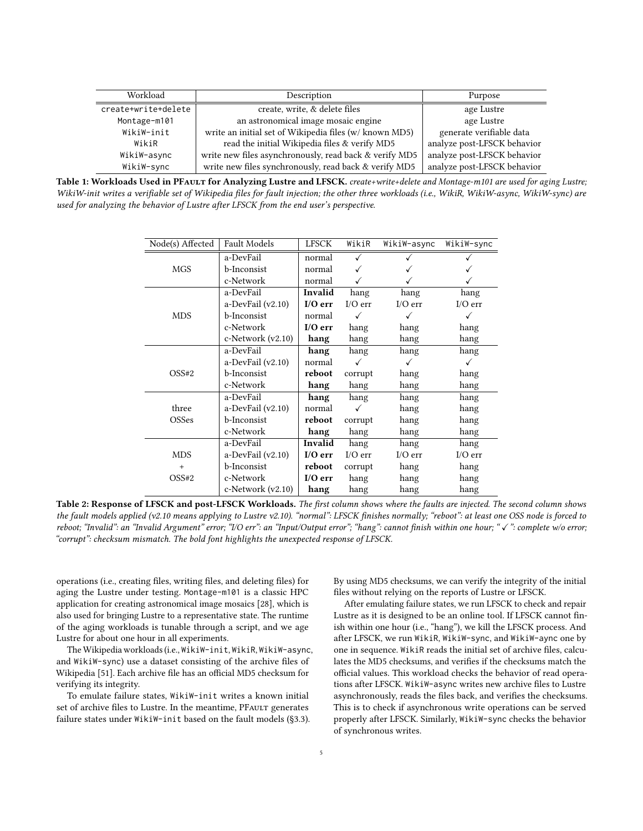<span id="page-4-0"></span>

| Workload            | Description                                            | Purpose                     |  |  |
|---------------------|--------------------------------------------------------|-----------------------------|--|--|
| create+write+delete | create, write, & delete files                          | age Lustre                  |  |  |
| Montage-m101        | an astronomical image mosaic engine                    | age Lustre                  |  |  |
| WikiW-init          | write an initial set of Wikipedia files (w/ known MD5) | generate verifiable data    |  |  |
| WikiR               | read the initial Wikipedia files & verify MD5          | analyze post-LFSCK behavior |  |  |
| WikiW-async         | write new files asynchronously, read back & verify MD5 | analyze post-LFSCK behavior |  |  |
| WikiW-sync          | write new files synchronously, read back & verify MD5  | analyze post-LFSCK behavior |  |  |

<span id="page-4-1"></span>Table 1: Workloads Used in PFAULT for Analyzing Lustre and LFSCK. create+write+delete and Montage-m101 are used for aging Lustre; WikiW-init writes a verifiable set of Wikipedia files for fault injection; the other three workloads (i.e., WikiR, WikiW-async, WikiW-sync) are used for analyzing the behavior of Lustre after LFSCK from the end user's perspective.

| Node(s) Affected | <b>Fault Models</b> | <b>LFSCK</b>         | WikiR     | WikiW-async | WikiW-sync |  |
|------------------|---------------------|----------------------|-----------|-------------|------------|--|
|                  | a-DevFail           | normal               |           |             |            |  |
| <b>MGS</b>       | b-Inconsist         | normal               |           |             |            |  |
|                  | c-Network           | normal               | ✓         |             |            |  |
|                  | a-DevFail           | Invalid              | hang      | hang        | hang       |  |
|                  | a-DevFail (v2.10)   | $I/O$ err            | $I/O$ err | $I/O$ err   | $I/O$ err  |  |
| <b>MDS</b>       | b-Inconsist         | normal               | ✓         |             |            |  |
|                  | c-Network           | $I/O$ err            | hang      | hang        | hang       |  |
|                  | c-Network (v2.10)   | hang                 | hang      | hang        | hang       |  |
|                  | a-DevFail           | hang<br>hang<br>hang |           |             | hang       |  |
|                  | a-DevFail (v2.10)   | normal               |           |             |            |  |
| OSS#2            | b-Inconsist         | reboot               | corrupt   | hang        | hang       |  |
|                  | c-Network           | hang                 | hang      | hang        | hang       |  |
|                  | a-DevFail           | hang                 | hang      | hang        | hang       |  |
| three            | a-DevFail (v2.10)   | normal               | ✓         | hang        | hang       |  |
| <b>OSSes</b>     | b-Inconsist         | reboot               | corrupt   | hang        | hang       |  |
|                  | c-Network           | hang                 | hang      | hang        | hang       |  |
|                  | a-DevFail           | Invalid              | hang      | hang        | hang       |  |
| <b>MDS</b>       | a-DevFail (v2.10)   | $I/O$ err            | $I/O$ err | $I/O$ err   | $I/O$ err  |  |
| $^{+}$           | b-Inconsist         | reboot               | corrupt   | hang        | hang       |  |
| OSS#2            | c-Network           | $I/O$ err            | hang      | hang        | hang       |  |
|                  | c-Network (v2.10)   | hang                 | hang      | hang        | hang       |  |

Table 2: Response of LFSCK and post-LFSCK Workloads. The first column shows where the faults are injected. The second column shows the fault models applied (v2.10 means applying to Lustre v2.10). "normal": LFSCK finishes normally; "reboot": at least one OSS node is forced to reboot; "Invalid": an "Invalid Argument" error; "I/O err": an "Input/Output error"; "hang": cannot finish within one hour; " ✓": complete w/o error; "corrupt": checksum mismatch. The bold font highlights the unexpected response of LFSCK.

operations (i.e., creating files, writing files, and deleting files) for aging the Lustre under testing. Montage-m101 is a classic HPC application for creating astronomical image mosaics [\[28\]](#page-9-18), which is also used for bringing Lustre to a representative state. The runtime of the aging workloads is tunable through a script, and we age Lustre for about one hour in all experiments.

The Wikipedia workloads (i.e., WikiW-init, WikiR, WikiW-async, and WikiW-sync) use a dataset consisting of the archive files of Wikipedia [\[51\]](#page-10-17). Each archive file has an official MD5 checksum for verifying its integrity.

To emulate failure states, WikiW-init writes a known initial set of archive files to Lustre. In the meantime, PFAULT generates failure states under WikiW-init based on the fault models ([§3.3\)](#page-2-2). By using MD5 checksums, we can verify the integrity of the initial files without relying on the reports of Lustre or LFSCK.

After emulating failure states, we run LFSCK to check and repair Lustre as it is designed to be an online tool. If LFSCK cannot finish within one hour (i.e., "hang"), we kill the LFSCK process. And after LFSCK, we run WikiR, WikiW-sync, and WikiW-aync one by one in sequence. WikiR reads the initial set of archive files, calculates the MD5 checksums, and verifies if the checksums match the official values. This workload checks the behavior of read operations after LFSCK. WikiW-async writes new archive files to Lustre asynchronously, reads the files back, and verifies the checksums. This is to check if asynchronous write operations can be served properly after LFSCK. Similarly, WikiW-sync checks the behavior of synchronous writes.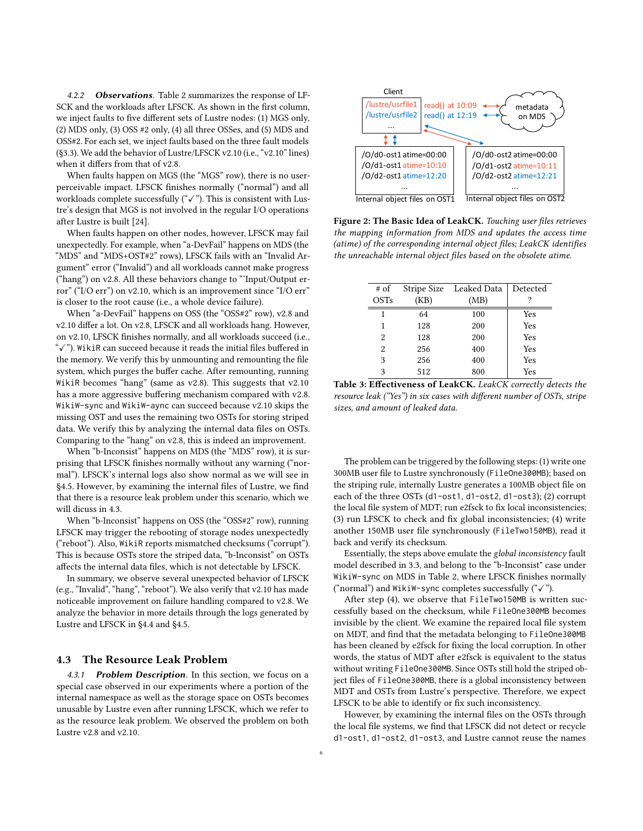4.2.2 Observations. Table [2](#page-4-1) summarizes the response of LF-SCK and the workloads after LFSCK. As shown in the first column, we inject faults to five different sets of Lustre nodes: (1) MGS only, (2) MDS only, (3) OSS #2 only, (4) all three OSSes, and (5) MDS and OSS#2. For each set, we inject faults based on the three fault models ([§3.3\)](#page-2-2). We add the behavior of Lustre/LFSCK v2.10 (i.e., "v2.10" lines) when it differs from that of v2.8.

When faults happen on MGS (the "MGS" row), there is no userperceivable impact. LFSCK finishes normally ("normal") and all workloads complete successfully ("✓"). This is consistent with Lustre's design that MGS is not involved in the regular I/O operations after Lustre is built [\[24\]](#page-9-6).

When faults happen on other nodes, however, LFSCK may fail unexpectedly. For example, when "a-DevFail" happens on MDS (the "MDS" and "MDS+OST#2" rows), LFSCK fails with an "Invalid Argument" error ("Invalid") and all workloads cannot make progress ("hang") on v2.8. All these behaviors change to "'Input/Output error" ("I/O err") on v2.10, which is an improvement since "I/O err" is closer to the root cause (i.e., a whole device failure).

When "a-DevFail" happens on OSS (the "OSS#2" row), v2.8 and v2.10 differ a lot. On v2.8, LFSCK and all workloads hang. However, on v2.10, LFSCK finishes normally, and all workloads succeed (i.e., "✓"). WikiR can succeed because it reads the initial files buffered in the memory. We verify this by unmounting and remounting the file system, which purges the buffer cache. After remounting, running WikiR becomes "hang" (same as v2.8). This suggests that v2.10 has a more aggressive buffering mechanism compared with v2.8. WikiW-sync and WikiW-aync can succeed because v2.10 skips the missing OST and uses the remaining two OSTs for storing striped data. We verify this by analyzing the internal data files on OSTs. Comparing to the "hang" on v2.8, this is indeed an improvement.

When "b-Inconsist" happens on MDS (the "MDS" row), it is surprising that LFSCK finishes normally without any warning ("normal"). LFSCK's internal logs also show normal as we will see in [§4.5.](#page-7-0) However, by examining the internal files of Lustre, we find that there is a resource leak problem under this scenario, which we will dicuss in [4.3.](#page-5-0)

When "b-Inconsist" happens on OSS (the "OSS#2" row), running LFSCK may trigger the rebooting of storage nodes unexpectedly ("reboot"). Also, WikiR reports mismatched checksums ("corrupt"). This is because OSTs store the striped data, "b-Inconsist" on OSTs affects the internal data files, which is not detectable by LFSCK.

In summary, we observe several unexpected behavior of LFSCK (e.g., "Invalid", "hang", "reboot"). We also verify that v2.10 has made noticeable improvement on failure handling compared to v2.8. We analyze the behavior in more details through the logs generated by Lustre and LFSCK in [§4.4](#page-6-0) and [§4.5.](#page-7-0)

# <span id="page-5-0"></span>4.3 The Resource Leak Problem

<span id="page-5-2"></span>4.3.1 Problem Description. In this section, we focus on a special case observed in our experiments where a portion of the internal namespace as well as the storage space on OSTs becomes unusable by Lustre even after running LFSCK, which we refer to as the resource leak problem. We observed the problem on both Lustre v2.8 and v2.10.

<span id="page-5-1"></span>

(atime) of the corresponding internal object files; LeakCK identifies Figure 2: The Basic Idea of LeakCK. Touching user files retrieves the mapping information from MDS and updates the access time the unreachable internal object files based on the obsolete atime.

<span id="page-5-3"></span>

| $# \text{ of }$ | Stripe Size | Leaked Data | Detected |
|-----------------|-------------|-------------|----------|
| <b>OSTs</b>     | (KB)        | (MB)        |          |
|                 | 64          | 100         | Yes      |
| 1               | 128         | 200         | Yes      |
| 2               | 128         | 200         | Yes      |
| 2               | 256         | 400         | Yes      |
| 3               | 256         | 400         | Yes      |
| 3               | 512         | 800         | Yes      |
|                 |             |             |          |

Table 3: Effectiveness of LeakCK. LeakCK correctly detects the resource leak ("Yes") in six cases with different number of OSTs, stripe sizes, and amount of leaked data.

The problem can be triggered by the following steps: (1) write one 300MB user file to Lustre synchronously (FileOne300MB); based on the striping rule, internally Lustre generates a 100MB object file on each of the three OSTs (d1-ost1, d1-ost2, d1-ost3); (2) corrupt the local file system of MDT; run e2fsck to fix local inconsistencies; (3) run LFSCK to check and fix global inconsistencies; (4) write another 150MB user file synchronously (FileTwo150MB), read it back and verify its checksum.

Essentially, the steps above emulate the global inconsistency fault model described in [3.3,](#page-2-2) and belong to the "b-Inconsist" case under WikiW-sync on MDS in Table [2,](#page-4-1) where LFSCK finishes normally ("normal") and WikiW-sync completes successfully ("✓").

After step (4), we observe that FileTwo150MB is written successfully based on the checksum, while FileOne300MB becomes invisible by the client. We examine the repaired local file system on MDT, and find that the metadata belonging to FileOne300MB has been cleaned by e2fsck for fixing the local corruption. In other words, the status of MDT after e2fsck is equivalent to the status without writing FileOne300MB. Since OSTs still hold the striped object files of FileOne300MB, there is a global inconsistency between MDT and OSTs from Lustre's perspective. Therefore, we expect LFSCK to be able to identify or fix such inconsistency.

However, by examining the internal files on the OSTs through the local file systems, we find that LFSCK did not detect or recycle d1-ost1, d1-ost2, d1-ost3, and Lustre cannot reuse the names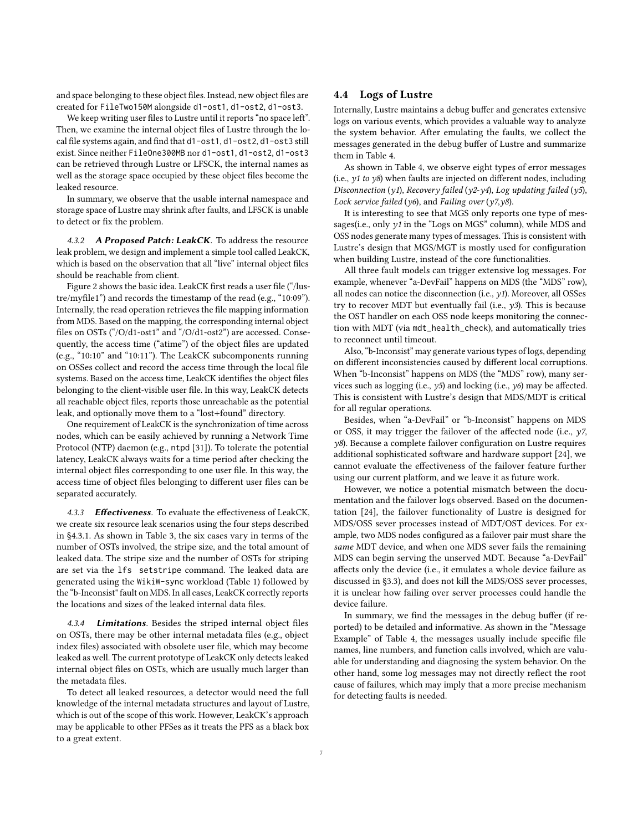and space belonging to these object files. Instead, new object files are created for FileTwo150M alongside d1-ost1, d1-ost2, d1-ost3.

We keep writing user files to Lustre until it reports "no space left". Then, we examine the internal object files of Lustre through the local file systems again, and find that d1-ost1, d1-ost2, d1-ost3 still exist. Since neither FileOne300MB nor d1-ost1, d1-ost2, d1-ost3 can be retrieved through Lustre or LFSCK, the internal names as well as the storage space occupied by these object files become the leaked resource.

In summary, we observe that the usable internal namespace and storage space of Lustre may shrink after faults, and LFSCK is unable to detect or fix the problem.

4.3.2 A Proposed Patch: LeakCK. To address the resource leak problem, we design and implement a simple tool called LeakCK, which is based on the observation that all "live" internal object files should be reachable from client.

Figure [2](#page-5-1) shows the basic idea. LeakCK first reads a user file ("/lustre/myfile1") and records the timestamp of the read (e.g., "10:09"). Internally, the read operation retrieves the file mapping information from MDS. Based on the mapping, the corresponding internal object files on OSTs ("/O/d1-ost1" and "/O/d1-ost2") are accessed. Consequently, the access time ("atime") of the object files are updated (e.g., "10:10" and "10:11"). The LeakCK subcomponents running on OSSes collect and record the access time through the local file systems. Based on the access time, LeakCK identifies the object files belonging to the client-visible user file. In this way, LeakCK detects all reachable object files, reports those unreachable as the potential leak, and optionally move them to a "lost+found" directory.

One requirement of LeakCK is the synchronization of time across nodes, which can be easily achieved by running a Network Time Protocol (NTP) daemon (e.g., ntpd [\[31\]](#page-10-18)). To tolerate the potential latency, LeakCK always waits for a time period after checking the internal object files corresponding to one user file. In this way, the access time of object files belonging to different user files can be separated accurately.

4.3.3 **Effectiveness**. To evaluate the effectiveness of LeakCK, we create six resource leak scenarios using the four steps described in [§4.3.1.](#page-5-2) As shown in Table [3,](#page-5-3) the six cases vary in terms of the number of OSTs involved, the stripe size, and the total amount of leaked data. The stripe size and the number of OSTs for striping are set via the lfs setstripe command. The leaked data are generated using the WikiW-sync workload (Table [1\)](#page-4-0) followed by the "b-Inconsist" fault on MDS. In all cases, LeakCK correctly reports the locations and sizes of the leaked internal data files.

4.3.4 Limitations. Besides the striped internal object files on OSTs, there may be other internal metadata files (e.g., object index files) associated with obsolete user file, which may become leaked as well. The current prototype of LeakCK only detects leaked internal object files on OSTs, which are usually much larger than the metadata files.

To detect all leaked resources, a detector would need the full knowledge of the internal metadata structures and layout of Lustre, which is out of the scope of this work. However, LeakCK's approach may be applicable to other PFSes as it treats the PFS as a black box to a great extent.

#### <span id="page-6-0"></span>4.4 Logs of Lustre

Internally, Lustre maintains a debug buffer and generates extensive logs on various events, which provides a valuable way to analyze the system behavior. After emulating the faults, we collect the messages generated in the debug buffer of Lustre and summarize them in Table [4.](#page-7-1)

As shown in Table [4,](#page-7-1) we observe eight types of error messages (i.e., y1 to y8) when faults are injected on different nodes, including Disconnection (y1), Recovery failed (y2-y4), Log updating failed (y5), Lock service failed (y6), and Failing over (y7,y8).

It is interesting to see that MGS only reports one type of messages(i.e., only y1 in the "Logs on MGS" column), while MDS and OSS nodes generate many types of messages. This is consistent with Lustre's design that MGS/MGT is mostly used for configuration when building Lustre, instead of the core functionalities.

All three fault models can trigger extensive log messages. For example, whenever "a-DevFail" happens on MDS (the "MDS" row), all nodes can notice the disconnection (i.e.,  $y1$ ). Moreover, all OSSes try to recover MDT but eventually fail (i.e., y3). This is because the OST handler on each OSS node keeps monitoring the connection with MDT (via mdt\_health\_check), and automatically tries to reconnect until timeout.

Also, "b-Inconsist" may generate various types of logs, depending on different inconsistencies caused by different local corruptions. When "b-Inconsist" happens on MDS (the "MDS" row), many services such as logging (i.e., y5) and locking (i.e., y6) may be affected. This is consistent with Lustre's design that MDS/MDT is critical for all regular operations.

Besides, when "a-DevFail" or "b-Inconsist" happens on MDS or OSS, it may trigger the failover of the affected node (i.e.,  $\gamma$ 7,  $y8$ ). Because a complete failover configuration on Lustre requires additional sophisticated software and hardware support [\[24\]](#page-9-6), we cannot evaluate the effectiveness of the failover feature further using our current platform, and we leave it as future work.

However, we notice a potential mismatch between the documentation and the failover logs observed. Based on the documentation [\[24\]](#page-9-6), the failover functionality of Lustre is designed for MDS/OSS sever processes instead of MDT/OST devices. For example, two MDS nodes configured as a failover pair must share the same MDT device, and when one MDS sever fails the remaining MDS can begin serving the unserved MDT. Because "a-DevFail" affects only the device (i.e., it emulates a whole device failure as discussed in [§3.3\)](#page-2-2), and does not kill the MDS/OSS sever processes, it is unclear how failing over server processes could handle the device failure.

In summary, we find the messages in the debug buffer (if reported) to be detailed and informative. As shown in the "Message Example" of Table [4,](#page-7-1) the messages usually include specific file names, line numbers, and function calls involved, which are valuable for understanding and diagnosing the system behavior. On the other hand, some log messages may not directly reflect the root cause of failures, which may imply that a more precise mechanism for detecting faults is needed.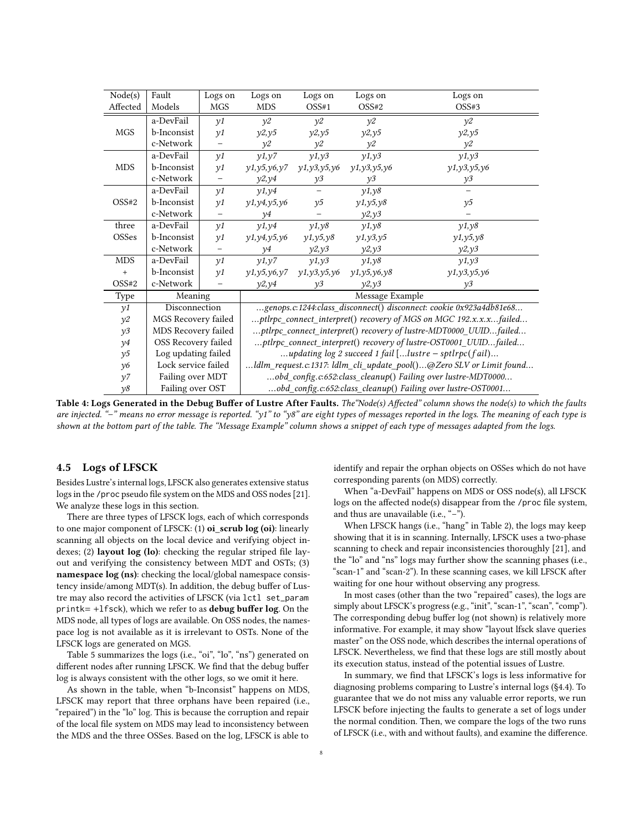<span id="page-7-1"></span>

| Fault<br>Node(s) |                    |                     | Logs on                  | Logs on                                                                                                                     | Logs on                                                           | Logs on        | Logs on                                                                                                                                 |  |  |  |
|------------------|--------------------|---------------------|--------------------------|-----------------------------------------------------------------------------------------------------------------------------|-------------------------------------------------------------------|----------------|-----------------------------------------------------------------------------------------------------------------------------------------|--|--|--|
|                  | Affected           | Models              | <b>MGS</b>               | <b>MDS</b>                                                                                                                  | OSS#1                                                             | OSS#2          | OSS#3                                                                                                                                   |  |  |  |
|                  |                    | a-DevFail           | $\gamma$ 1               | y2                                                                                                                          | $\nu$ 2                                                           | y2             | $\nu$ <sup>2</sup>                                                                                                                      |  |  |  |
|                  | MGS                | b-Inconsist         | $\mathcal{V}1$           | y2, y5                                                                                                                      | y2, y5                                                            | y2, y5         | y2, y5                                                                                                                                  |  |  |  |
|                  |                    | c-Network           |                          | y2                                                                                                                          | $\nu$ <sup>2</sup>                                                | y2             | $\nu$ <sup>2</sup>                                                                                                                      |  |  |  |
|                  |                    | a-DevFail           | $\gamma$ 1               | y1, y7                                                                                                                      | y1, y3                                                            | y1, y3         | y1, y3                                                                                                                                  |  |  |  |
|                  | <b>MDS</b>         | b-Inconsist         | $\mathcal{V}1$           | y1, y5, y6, y7                                                                                                              | y1, y3, y5, y6                                                    | y1, y3, y5, y6 | y1, y3, y5, y6                                                                                                                          |  |  |  |
|                  |                    | c-Network           | -                        | y2, y4                                                                                                                      | y3                                                                | y3             | y3                                                                                                                                      |  |  |  |
|                  |                    | a-DevFail           | $\gamma$ 1               | y1, y4                                                                                                                      |                                                                   | y1, y8         |                                                                                                                                         |  |  |  |
|                  | OSS#2              | b-Inconsist         | $\mathcal{V}1$           | y1, y4, y5, y6                                                                                                              | y5                                                                | y1, y5, y8     | y <sub>5</sub>                                                                                                                          |  |  |  |
|                  |                    | c-Network           | $\overline{\phantom{0}}$ | $\nu$ 4                                                                                                                     |                                                                   | y2, y3         |                                                                                                                                         |  |  |  |
|                  | three              | a-DevFail           | $\gamma$ 1               | $\nu$ 1, $\nu$ 4                                                                                                            | y1, y8                                                            | y1, y8         | y1, y8                                                                                                                                  |  |  |  |
|                  | OSSes              | b-Inconsist         | $\mathcal{V}1$           | y1, y4, y5, y6                                                                                                              | y1, y5, y8                                                        | y1, y3, y5     | y1, y5, y8                                                                                                                              |  |  |  |
|                  |                    | c-Network           |                          | y4                                                                                                                          | y2, y3                                                            | y2, y3         | y2, y3                                                                                                                                  |  |  |  |
|                  | <b>MDS</b>         | a-DevFail           | $\nu$ 1                  | y1, y7                                                                                                                      | $y_1, y_3$                                                        | y1, y8         | y1, y3                                                                                                                                  |  |  |  |
|                  | $^{+}$             | b-Inconsist         | $\mathcal{V}1$           | y1, y5, y6, y7                                                                                                              | y1, y3, y5, y6                                                    | y1, y5, y6, y8 | y1, y3, y5, y6                                                                                                                          |  |  |  |
|                  | OSS#2              | c-Network           |                          | y2, y4                                                                                                                      | $\nu$ 3                                                           | y2, y3         | y3                                                                                                                                      |  |  |  |
|                  | Type               | Meaning             |                          | Message Example                                                                                                             |                                                                   |                |                                                                                                                                         |  |  |  |
|                  | $\gamma$ 1         | Disconnection       |                          | genops.c.1244:class_disconnect() disconnect: cookie 0x923a4db81e68                                                          |                                                                   |                |                                                                                                                                         |  |  |  |
|                  | y2                 | MGS Recovery failed |                          |                                                                                                                             | ptlrpc_connect_interpret() recovery of MGS on MGC 192.x.x.xfailed |                |                                                                                                                                         |  |  |  |
|                  | y3                 | MDS Recovery failed |                          |                                                                                                                             | ptlrpc_connect_interpret() recovery of lustre-MDT0000_UUIDfailed  |                |                                                                                                                                         |  |  |  |
|                  | $\nu$ <sup>4</sup> | OSS Recovery failed |                          | ptlrpc_connect_interpret() recovery of lustre-OST0001_UUIDfailed<br>updating $log 2$ succeed 1 fail [lustre - sptlrpc(fail) |                                                                   |                |                                                                                                                                         |  |  |  |
|                  | y5                 | Log updating failed |                          |                                                                                                                             |                                                                   |                |                                                                                                                                         |  |  |  |
|                  | $\gamma$ 6         | Lock service failed |                          | ldlm_request.c:1317: ldlm_cli_update_pool()@Zero SLV or Limit found                                                         |                                                                   |                |                                                                                                                                         |  |  |  |
|                  | y7                 | Failing over MDT    |                          |                                                                                                                             |                                                                   |                | obd_config.c:652:class_cleanup() Failing over lustre-MDT0000                                                                            |  |  |  |
|                  | $\nu 8$            | Failing over OST    |                          |                                                                                                                             |                                                                   |                | obd_config.c:652:class_cleanup() Failing over lustre-OST0001                                                                            |  |  |  |
|                  |                    |                     |                          |                                                                                                                             |                                                                   |                | Table 4: Logs Generated in the Debug Buffer of Lustre After Faults. The "Node(s) Affected" column shows the node(s) to which the faults |  |  |  |

are injected. "-" means no error message is reported. "y1" to "y8" are eight types of messages reported in the logs. The meaning of each type is shown at the bottom part of the table. The "Message Example" column shows a snippet of each type of messages adapted from the logs.

#### <span id="page-7-0"></span>4.5 Logs of LFSCK

Besides Lustre's internal logs, LFSCK also generates extensive status logs in the /proc pseudo file system on the MDS and OSS nodes [\[21\]](#page-9-10). We analyze these logs in this section.

There are three types of LFSCK logs, each of which corresponds to one major component of LFSCK: (1) oi\_scrub log (oi): linearly scanning all objects on the local device and verifying object indexes; (2) layout log (lo): checking the regular striped file layout and verifying the consistency between MDT and OSTs; (3) namespace log (ns): checking the local/global namespace consistency inside/among MDT(s). In addition, the debug buffer of Lustre may also record the activities of LFSCK (via lctl set\_param  $printk= +lfsck$ ), which we refer to as **debug buffer log**. On the MDS node, all types of logs are available. On OSS nodes, the namespace log is not available as it is irrelevant to OSTs. None of the LFSCK logs are generated on MGS.

Table [5](#page-8-2) summarizes the logs (i.e., "oi", "lo", "ns") generated on different nodes after running LFSCK. We find that the debug buffer log is always consistent with the other logs, so we omit it here.

As shown in the table, when "b-Inconsist" happens on MDS, LFSCK may report that three orphans have been repaired (i.e., "repaired") in the "lo" log. This is because the corruption and repair of the local file system on MDS may lead to inconsistency between the MDS and the three OSSes. Based on the log, LFSCK is able to

identify and repair the orphan objects on OSSes which do not have corresponding parents (on MDS) correctly.

When "a-DevFail" happens on MDS or OSS node(s), all LFSCK logs on the affected node(s) disappear from the /proc file system, and thus are unavailable (i.e., "–").

When LFSCK hangs (i.e., "hang" in Table [2\)](#page-4-1), the logs may keep showing that it is in scanning. Internally, LFSCK uses a two-phase scanning to check and repair inconsistencies thoroughly [\[21\]](#page-9-10), and the "lo" and "ns" logs may further show the scanning phases (i.e., "scan-1" and "scan-2"). In these scanning cases, we kill LFSCK after waiting for one hour without observing any progress.

In most cases (other than the two "repaired" cases), the logs are simply about LFSCK's progress (e.g., "init", "scan-1", "scan", "comp"). The corresponding debug buffer log (not shown) is relatively more informative. For example, it may show "layout lfsck slave queries master" on the OSS node, which describes the internal operations of LFSCK. Nevertheless, we find that these logs are still mostly about its execution status, instead of the potential issues of Lustre.

In summary, we find that LFSCK's logs is less informative for diagnosing problems comparing to Lustre's internal logs ([§4.4\)](#page-6-0). To guarantee that we do not miss any valuable error reports, we run LFSCK before injecting the faults to generate a set of logs under the normal condition. Then, we compare the logs of the two runs of LFSCK (i.e., with and without faults), and examine the difference.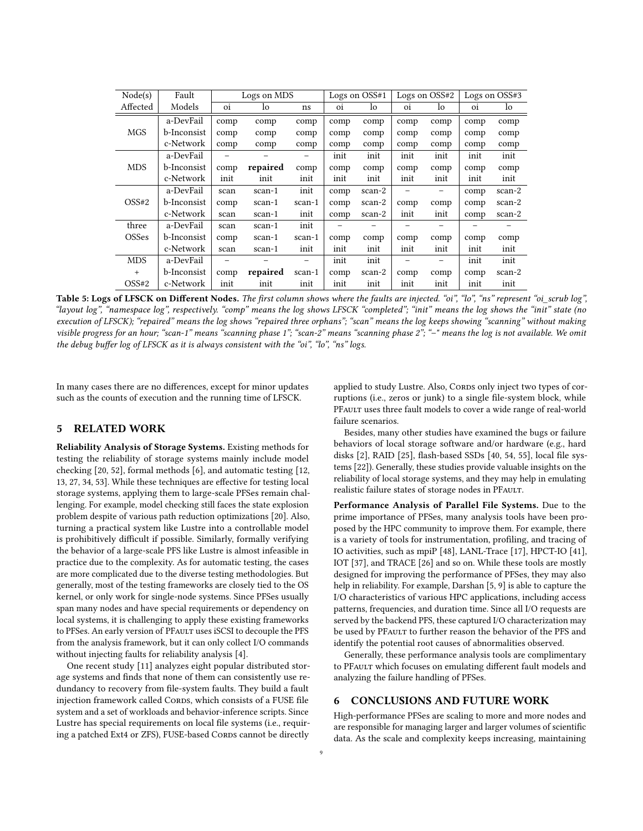<span id="page-8-2"></span>

| Node(s)      | Fault       | Logs on MDS              |          |        |          | Logs on OSS#1 | Logs on OSS#2   |      | Logs on OSS#3 |        |
|--------------|-------------|--------------------------|----------|--------|----------|---------------|-----------------|------|---------------|--------|
| Affected     | Models      | <sub>oi</sub>            | lo       | ns     | $\alpha$ | lo            | $\overline{oi}$ | lo   | oi            | lo     |
|              | a-DevFail   | comp                     | comp     | comp   | comp     | comp          | comp            | comp | comp          | comp   |
| <b>MGS</b>   | b-Inconsist | comp                     | comp     | comp   | comp     | comp          | comp            | comp | comp          | comp   |
|              | c-Network   | comp                     | comp     | comp   | comp     | comp          | comp            | comp | comp          | comp   |
|              | a-DevFail   |                          |          |        | init     | init          | init            | init | init          | init   |
| <b>MDS</b>   | b-Inconsist | comp                     | repaired | comp   | comp     | comp          | comp            | comp | comp          | comp   |
|              | c-Network   | init                     | init     | init   | init     | init          | init            | init | init          | init   |
|              | a-DevFail   | scan                     | scan-1   | init   | comp     | scan-2        |                 |      | comp          | scan-2 |
| OSS#2        | b-Inconsist | comp                     | scan-1   | scan-1 | comp     | scan-2        | comp            | comp | comp          | scan-2 |
|              | c-Network   | scan                     | scan-1   | init   | comp     | scan-2        | init            | init | comp          | scan-2 |
| three        | a-DevFail   | scan                     | scan-1   | init   |          |               |                 |      |               |        |
| <b>OSSes</b> | b-Inconsist | comp                     | scan-1   | scan-1 | comp     | comp          | comp            | comp | comp          | comp   |
|              | c-Network   | scan                     | scan-1   | init   | init     | init          | init            | init | init          | init   |
| <b>MDS</b>   | a-DevFail   | $\overline{\phantom{0}}$ |          |        | init     | init          |                 |      | init          | init   |
| $^{+}$       | b-Inconsist | comp                     | repaired | scan-1 | comp     | scan-2        | comp            | comp | comp          | scan-2 |
| OSS#2        | c-Network   | init                     | init     | init   | init     | init          | init            | init | init          | init   |

Table 5: Logs of LFSCK on Different Nodes. The first column shows where the faults are injected. "oi", "lo", "ns" represent "oi\_scrub log", "layout log", "namespace log", respectively. "comp" means the log shows LFSCK "completed"; "init" means the log shows the "init" state (no execution of LFSCK); "repaired" means the log shows "repaired three orphans"; "scan" means the log keeps showing "scanning" without making visible progress for an hour; "scan-1" means "scanning phase 1"; "scan-2" means "scanning phase 2"; "-" means the log is not available. We omit the debug buffer log of LFSCK as it is always consistent with the "oi", "lo", "ns" logs.

In many cases there are no differences, except for minor updates such as the counts of execution and the running time of LFSCK.

#### <span id="page-8-0"></span>5 RELATED WORK

Reliability Analysis of Storage Systems. Existing methods for testing the reliability of storage systems mainly include model checking [\[20,](#page-9-19) [52\]](#page-10-19), formal methods [\[6\]](#page-9-20), and automatic testing [\[12,](#page-9-21) [13,](#page-9-22) [27,](#page-9-1) [34,](#page-10-20) [53\]](#page-10-14). While these techniques are effective for testing local storage systems, applying them to large-scale PFSes remain challenging. For example, model checking still faces the state explosion problem despite of various path reduction optimizations [\[20\]](#page-9-19). Also, turning a practical system like Lustre into a controllable model is prohibitively difficult if possible. Similarly, formally verifying the behavior of a large-scale PFS like Lustre is almost infeasible in practice due to the complexity. As for automatic testing, the cases are more complicated due to the diverse testing methodologies. But generally, most of the testing frameworks are closely tied to the OS kernel, or only work for single-node systems. Since PFSes usually span many nodes and have special requirements or dependency on local systems, it is challenging to apply these existing frameworks to PFSes. An early version of PFAULT uses iSCSI to decouple the PFS from the analysis framework, but it can only collect I/O commands without injecting faults for reliability analysis [\[4\]](#page-9-23).

One recent study [\[11\]](#page-9-24) analyzes eight popular distributed storage systems and finds that none of them can consistently use redundancy to recovery from file-system faults. They build a fault injection framework called Corps, which consists of a FUSE file system and a set of workloads and behavior-inference scripts. Since Lustre has special requirements on local file systems (i.e., requiring a patched Ext4 or ZFS), FUSE-based Corps cannot be directly

applied to study Lustre. Also, Corps only inject two types of corruptions (i.e., zeros or junk) to a single file-system block, while PFAULT uses three fault models to cover a wide range of real-world failure scenarios.

Besides, many other studies have examined the bugs or failure behaviors of local storage software and/or hardware (e.g., hard disks [\[2\]](#page-9-11), RAID [\[25\]](#page-9-0), flash-based SSDs [\[40,](#page-10-21) [54,](#page-10-1) [55\]](#page-10-22), local file systems [\[22\]](#page-9-25)). Generally, these studies provide valuable insights on the reliability of local storage systems, and they may help in emulating realistic failure states of storage nodes in PFAULT.

Performance Analysis of Parallel File Systems. Due to the prime importance of PFSes, many analysis tools have been proposed by the HPC community to improve them. For example, there is a variety of tools for instrumentation, profiling, and tracing of IO activities, such as mpiP [\[48\]](#page-10-23), LANL-Trace [\[17\]](#page-9-26), HPCT-IO [\[41\]](#page-10-24), IOT [\[37\]](#page-10-25), and TRACE [\[26\]](#page-9-27) and so on. While these tools are mostly designed for improving the performance of PFSes, they may also help in reliability. For example, Darshan [\[5,](#page-9-28) [9\]](#page-9-29) is able to capture the I/O characteristics of various HPC applications, including access patterns, frequencies, and duration time. Since all I/O requests are served by the backend PFS, these captured I/O characterization may be used by PFAULT to further reason the behavior of the PFS and identify the potential root causes of abnormalities observed.

Generally, these performance analysis tools are complimentary to PFAULT which focuses on emulating different fault models and analyzing the failure handling of PFSes.

#### <span id="page-8-1"></span>6 CONCLUSIONS AND FUTURE WORK

High-performance PFSes are scaling to more and more nodes and are responsible for managing larger and larger volumes of scientific data. As the scale and complexity keeps increasing, maintaining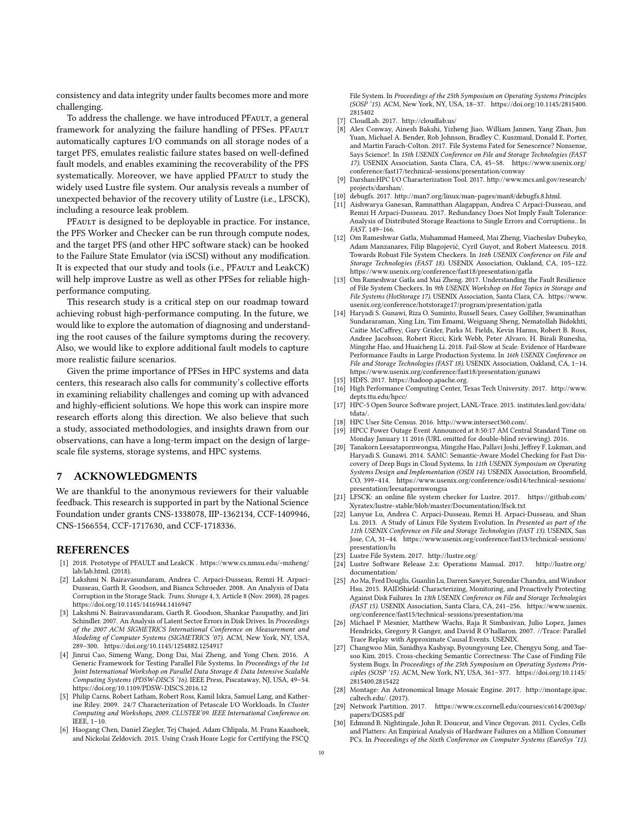consistency and data integrity under faults becomes more and more challenging.

To address the challenge. we have introduced PFAULT, a general framework for analyzing the failure handling of PFSes. PFAULT automatically captures I/O commands on all storage nodes of a target PFS, emulates realistic failure states based on well-defined fault models, and enables examining the recoverability of the PFS systematically. Moreover, we have applied PFAULT to study the widely used Lustre file system. Our analysis reveals a number of unexpected behavior of the recovery utility of Lustre (i.e., LFSCK), including a resource leak problem.

PFAULT is designed to be deployable in practice. For instance, the PFS Worker and Checker can be run through compute nodes, and the target PFS (and other HPC software stack) can be hooked to the Failure State Emulator (via iSCSI) without any modification. It is expected that our study and tools (i.e., PFAULT and LeakCK) will help improve Lustre as well as other PFSes for reliable highperformance computing.

This research study is a critical step on our roadmap toward achieving robust high-performance computing. In the future, we would like to explore the automation of diagnosing and understanding the root causes of the failure symptoms during the recovery. Also, we would like to explore additional fault models to capture more realistic failure scenarios.

Given the prime importance of PFSes in HPC systems and data centers, this researach also calls for community's collective efforts in examining reliability challenges and coming up with advanced and highly-efficient solutions. We hope this work can inspire more research efforts along this direction. We also believe that such a study, associated methodologies, and insights drawn from our observations, can have a long-term impact on the design of largescale file systems, storage systems, and HPC systems.

#### **ACKNOWLEDGMENTS**

We are thankful to the anonymous reviewers for their valuable feedback. This research is supported in part by the National Science Foundation under grants CNS-1338078, IIP-1362134, CCF-1409946, CNS-1566554, CCF-1717630, and CCF-1718336.

#### **REFERENCES**

- <span id="page-9-7"></span>[1] 2018. Prototype of PFAULT and LeakCK . [https://www.cs.nmsu.edu/~mzheng/]( https://www.cs.nmsu.edu/~mzheng/lab/lab.html ) [lab/lab.html.]( https://www.cs.nmsu.edu/~mzheng/lab/lab.html ) (2018).
- <span id="page-9-11"></span>[2] Lakshmi N. Bairavasundaram, Andrea C. Arpaci-Dusseau, Remzi H. Arpaci-Dusseau, Garth R. Goodson, and Bianca Schroeder. 2008. An Analysis of Data Corruption in the Storage Stack. Trans. Storage 4, 3, Article 8 (Nov. 2008), 28 pages. <https://doi.org/10.1145/1416944.1416947>
- <span id="page-9-14"></span>[3] Lakshmi N. Bairavasundaram, Garth R. Goodson, Shankar Pasupathy, and Jiri Schindler. 2007. An Analysis of Latent Sector Errors in Disk Drives. In Proceedings of the 2007 ACM SIGMETRICS International Conference on Measurement and Modeling of Computer Systems (SIGMETRICS '07). ACM, New York, NY, USA, 289–300.<https://doi.org/10.1145/1254882.1254917>
- <span id="page-9-23"></span>[4] Jinrui Cao, Simeng Wang, Dong Dai, Mai Zheng, and Yong Chen. 2016. A Generic Framework for Testing Parallel File Systems. In Proceedings of the 1st Joint International Workshop on Parallel Data Storage & Data Intensive Scalable Computing Systems (PDSW-DISCS '16). IEEE Press, Piscataway, NJ, USA, 49–54. <https://doi.org/10.1109/PDSW-DISCS.2016.12>
- <span id="page-9-28"></span>[5] Philip Carns, Robert Latham, Robert Ross, Kamil Iskra, Samuel Lang, and Katherine Riley. 2009. 24/7 Characterization of Petascale I/O Workloads. In Cluster Computing and Workshops, 2009. CLUSTER'09. IEEE International Conference on. IEEE, 1–10.
- <span id="page-9-20"></span>[6] Haogang Chen, Daniel Ziegler, Tej Chajed, Adam Chlipala, M. Frans Kaashoek, and Nickolai Zeldovich. 2015. Using Crash Hoare Logic for Certifying the FSCQ

File System. In Proceedings of the 25th Symposium on Operating Systems Principles (SOSP '15). ACM, New York, NY, USA, 18–37. [https://doi.org/10.1145/2815400.](https://doi.org/10.1145/2815400.2815402) [2815402](https://doi.org/10.1145/2815400.2815402)

- <span id="page-9-17"></span>[7] CloudLab. 2017.<http://cloudlab.us/>
- <span id="page-9-16"></span>[8] Alex Conway, Ainesh Bakshi, Yizheng Jiao, William Jannen, Yang Zhan, Jun Yuan, Michael A. Bender, Rob Johnson, Bradley C. Kuszmaul, Donald E. Porter, and Martin Farach-Colton. 2017. File Systems Fated for Senescence? Nonsense, Says Science!. In 15th USENIX Conference on File and Storage Technologies (FAST 17). USENIX Association, Santa Clara, CA, 45–58. [https://www.usenix.org/](https://www.usenix.org/conference/fast17/technical-sessions/presentation/conway) [conference/fast17/technical-sessions/presentation/conway](https://www.usenix.org/conference/fast17/technical-sessions/presentation/conway)
- <span id="page-9-29"></span>[9] Darshan:HPC I/O Characterization Tool. 2017. [http://www.mcs.anl.gov/research/](http://www.mcs.anl.gov/research/projects/darshan/) [projects/darshan/.](http://www.mcs.anl.gov/research/projects/darshan/)
- <span id="page-9-12"></span>[10] debugfs. 2017. [http://man7.org/linux/man-pages/man8/debugfs.8.html.](http://man7.org/linux/man-pages/man8/debugfs.8.html)
- <span id="page-9-24"></span>[11] Aishwarya Ganesan, Ramnatthan Alagappan, Andrea C Arpaci-Dusseau, and Remzi H Arpaci-Dusseau. 2017. Redundancy Does Not Imply Fault Tolerance: Analysis of Distributed Storage Reactions to Single Errors and Corruptions.. In FAST. 149–166.
- <span id="page-9-21"></span>[12] Om Rameshwar Gatla, Muhammad Hameed, Mai Zheng, Viacheslav Dubeyko, Adam Manzanares, Filip Blagojević, Cyril Guyot, and Robert Mateescu. 2018. Towards Robust File System Checkers. In 16th USENIX Conference on File and Storage Technologies (FAST 18). USENIX Association, Oakland, CA, 105–122. <https://www.usenix.org/conference/fast18/presentation/gatla>
- <span id="page-9-22"></span>[13] Om Rameshwar Gatla and Mai Zheng. 2017. Understanding the Fault Resilience of File System Checkers. In 9th USENIX Workshop on Hot Topics in Storage and File Systems (HotStorage 17). USENIX Association, Santa Clara, CA. [https://www.](https://www.usenix.org/conference/hotstorage17/program/presentation/gatla) [usenix.org/conference/hotstorage17/program/presentation/gatla](https://www.usenix.org/conference/hotstorage17/program/presentation/gatla)
- <span id="page-9-5"></span>[14] Haryadi S. Gunawi, Riza O. Suminto, Russell Sears, Casey Golliher, Swaminathan Sundararaman, Xing Lin, Tim Emami, Weiguang Sheng, Nematollah Bidokhti, Caitie McCaffrey, Gary Grider, Parks M. Fields, Kevin Harms, Robert B. Ross, Andree Jacobson, Robert Ricci, Kirk Webb, Peter Alvaro, H. Birali Runesha, Mingzhe Hao, and Huaicheng Li. 2018. Fail-Slow at Scale: Evidence of Hardware Performance Faults in Large Production Systems. In 16th USENIX Conference on File and Storage Technologies (FAST 18). USENIX Association, Oakland, CA, 1–14. <https://www.usenix.org/conference/fast18/presentation/gunawi>
- <span id="page-9-8"></span>[15] HDFS. 2017. [https://hadoop.apache.org.](https://hadoop.apache.org)
- <span id="page-9-3"></span>[16] High Performance Computing Center, Texas Tech University. 2017. [http://www.](http://www.depts.ttu.edu/hpcc/) [depts.ttu.edu/hpcc/](http://www.depts.ttu.edu/hpcc/)
- <span id="page-9-26"></span>[17] HPC-5 Open Source Software project, LANL-Trace. 2015. [institutes.lanl.gov/data/](institutes.lanl.gov/data/tdata/) [tdata/.](institutes.lanl.gov/data/tdata/)
- <span id="page-9-9"></span>[18] HPC User Site Census. 2016. [http://www.intersect360.com/.]( http://www.intersect360.com/)
- <span id="page-9-4"></span>[19] HPCC Power Outage Event Announced at 8:50:17 AM Central Standard Time on Monday January 11 2016 (URL omitted for double-blind reviewing). 2016.
- <span id="page-9-19"></span>[20] Tanakorn Leesatapornwongsa, Mingzhe Hao, Pallavi Joshi, Jeffrey F. Lukman, and Haryadi S. Gunawi. 2014. SAMC: Semantic-Aware Model Checking for Fast Discovery of Deep Bugs in Cloud Systems. In 11th USENIX Symposium on Operating Systems Design and Implementation (OSDI 14). USENIX Association, Broomfield, CO, 399–414. [https://www.usenix.org/conference/osdi14/technical-sessions/](https://www.usenix.org/conference/osdi14/technical-sessions/presentation/leesatapornwongsa) [presentation/leesatapornwongsa](https://www.usenix.org/conference/osdi14/technical-sessions/presentation/leesatapornwongsa)
- <span id="page-9-10"></span>[21] LFSCK: an online file system checker for Lustre. 2017. [https://github.com/](https://github.com/Xyratex/lustre-stable/blob/master/Documentation/lfsck.txt) [Xyratex/lustre-stable/blob/master/Documentation/lfsck.txt](https://github.com/Xyratex/lustre-stable/blob/master/Documentation/lfsck.txt)
- <span id="page-9-25"></span>[22] Lanyue Lu, Andrea C. Arpaci-Dusseau, Remzi H. Arpaci-Dusseau, and Shan Lu. 2013. A Study of Linux File System Evolution. In Presented as part of the 11th USENIX Conference on File and Storage Technologies (FAST 13). USENIX, San Jose, CA, 31–44. [https://www.usenix.org/conference/fast13/technical-sessions/](https://www.usenix.org/conference/fast13/technical-sessions/presentation/lu) [presentation/lu](https://www.usenix.org/conference/fast13/technical-sessions/presentation/lu)
- <span id="page-9-2"></span>[23] Lustre File System. 2017.<http://lustre.org/>
- <span id="page-9-6"></span>[24] Lustre Software Release 2.x: Operations Manual. 2017. [http://lustre.org/](http://lustre.org/documentation/) [documentation/](http://lustre.org/documentation/)
- <span id="page-9-0"></span>[25] Ao Ma, Fred Douglis, Guanlin Lu, Darren Sawyer, Surendar Chandra, and Windsor Hsu. 2015. RAIDShield: Characterizing, Monitoring, and Proactively Protecting Against Disk Failures. In 13th USENIX Conference on File and Storage Technologies (FAST 15). USENIX Association, Santa Clara, CA, 241–256. [https://www.usenix.](https://www.usenix.org/conference/fast15/technical-sessions/presentation/ma) [org/conference/fast15/technical-sessions/presentation/ma](https://www.usenix.org/conference/fast15/technical-sessions/presentation/ma)
- <span id="page-9-27"></span>[26] Michael P Mesnier, Matthew Wachs, Raja R Simbasivan, Julio Lopez, James Hendricks, Gregory R Ganger, and David R O'hallaron. 2007. //Trace: Parallel Trace Replay with Approximate Causal Events. USENIX.
- <span id="page-9-1"></span>[27] Changwoo Min, Sanidhya Kashyap, Byoungyoung Lee, Chengyu Song, and Taesoo Kim. 2015. Cross-checking Semantic Correctness: The Case of Finding File System Bugs. In Proceedings of the 25th Symposium on Operating Systems Principles (SOSP '15). ACM, New York, NY, USA, 361–377. [https://doi.org/10.1145/](https://doi.org/10.1145/2815400.2815422) [2815400.2815422](https://doi.org/10.1145/2815400.2815422)
- <span id="page-9-18"></span>[28] Montage: An Astronomical Image Mosaic Engine. 2017. [http://montage.ipac.]( http://montage.ipac.caltech.edu/ ) [caltech.edu/.]( http://montage.ipac.caltech.edu/ ) (2017).
- <span id="page-9-13"></span>[29] Network Partition. 2017. [https://www.cs.cornell.edu/courses/cs614/2003sp/](https://www.cs.cornell.edu/courses/cs614/2003sp/papers/DGS85.pdf) [papers/DGS85.pdf](https://www.cs.cornell.edu/courses/cs614/2003sp/papers/DGS85.pdf)
- <span id="page-9-15"></span>[30] Edmund B. Nightingale, John R. Douceur, and Vince Orgovan. 2011. Cycles, Cells and Platters: An Empirical Analysis of Hardware Failures on a Million Consumer PCs. In Proceedings of the Sixth Conference on Computer Systems (EuroSys '11).